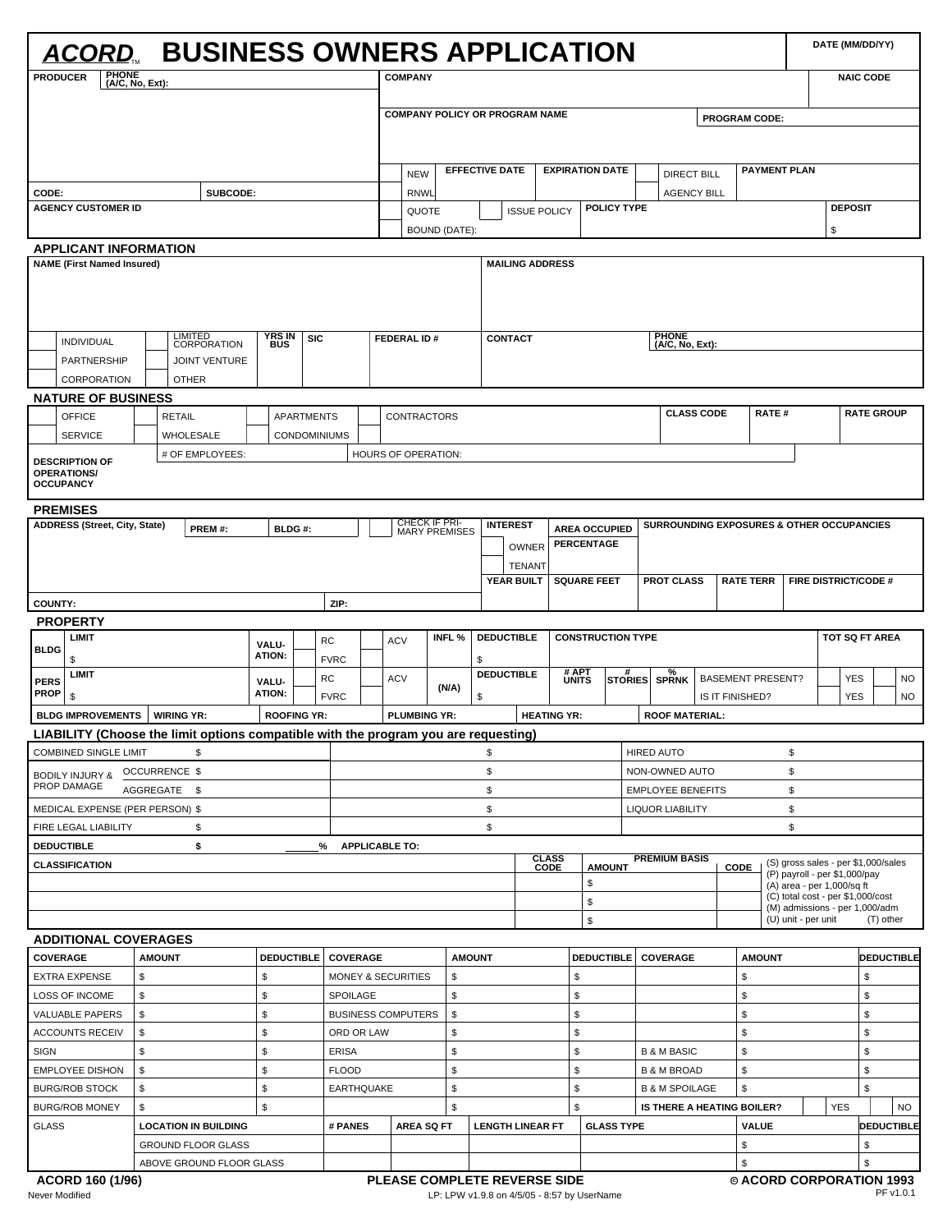|                                                                   | <u>ACORD</u> BUSINESS OWNERS APPLICATION                                            |                                          |             |                               |                                       |                |                         |                        |                |                          |                |                                           |                   |                          |                                                                     | DATE (MM/DD/YY)             |                  |                   |
|-------------------------------------------------------------------|-------------------------------------------------------------------------------------|------------------------------------------|-------------|-------------------------------|---------------------------------------|----------------|-------------------------|------------------------|----------------|--------------------------|----------------|-------------------------------------------|-------------------|--------------------------|---------------------------------------------------------------------|-----------------------------|------------------|-------------------|
| <b>PHONE</b><br><b>PRODUCER</b>                                   | (A/C, No, Ext):                                                                     |                                          |             |                               | <b>COMPANY</b>                        |                |                         |                        |                |                          |                |                                           |                   |                          |                                                                     |                             | <b>NAIC CODE</b> |                   |
|                                                                   |                                                                                     |                                          |             |                               | <b>COMPANY POLICY OR PROGRAM NAME</b> |                |                         |                        |                |                          |                |                                           |                   | <b>PROGRAM CODE:</b>     |                                                                     |                             |                  |                   |
|                                                                   |                                                                                     |                                          |             |                               |                                       |                |                         |                        |                |                          |                |                                           |                   |                          |                                                                     |                             |                  |                   |
|                                                                   |                                                                                     |                                          |             |                               | <b>NEW</b>                            |                | <b>EFFECTIVE DATE</b>   |                        |                | <b>EXPIRATION DATE</b>   |                | <b>DIRECT BILL</b>                        |                   |                          | <b>PAYMENT PLAN</b>                                                 |                             |                  |                   |
| CODE:                                                             | SUBCODE:                                                                            |                                          |             |                               | <b>RNWL</b>                           |                |                         |                        |                |                          |                | <b>AGENCY BILL</b>                        |                   |                          |                                                                     |                             |                  |                   |
| <b>AGENCY CUSTOMER ID</b>                                         |                                                                                     |                                          |             |                               | QUOTE                                 |                |                         | <b>ISSUE POLICY</b>    |                | <b>POLICY TYPE</b>       |                |                                           |                   |                          |                                                                     | <b>DEPOSIT</b>              |                  |                   |
|                                                                   |                                                                                     |                                          |             |                               | BOUND (DATE):                         |                |                         |                        |                |                          |                |                                           |                   |                          |                                                                     | \$                          |                  |                   |
| <b>APPLICANT INFORMATION</b><br><b>NAME (First Named Insured)</b> |                                                                                     |                                          |             |                               |                                       |                |                         | <b>MAILING ADDRESS</b> |                |                          |                |                                           |                   |                          |                                                                     |                             |                  |                   |
|                                                                   |                                                                                     |                                          |             |                               |                                       |                |                         |                        |                |                          |                |                                           |                   |                          |                                                                     |                             |                  |                   |
| <b>INDIVIDUAL</b>                                                 | <b>LIMITED</b><br>CORPORATION                                                       | <b>YRS IN</b><br><b>BUS</b>              | <b>SIC</b>  |                               | FEDERAL ID#                           |                | <b>CONTACT</b>          |                        |                |                          |                | <b>PHONE</b><br>(A/C, No, Ext):           |                   |                          |                                                                     |                             |                  |                   |
| <b>PARTNERSHIP</b>                                                | <b>JOINT VENTURE</b>                                                                |                                          |             |                               |                                       |                |                         |                        |                |                          |                |                                           |                   |                          |                                                                     |                             |                  |                   |
| CORPORATION                                                       | <b>OTHER</b>                                                                        |                                          |             |                               |                                       |                |                         |                        |                |                          |                |                                           |                   |                          |                                                                     |                             |                  |                   |
| <b>NATURE OF BUSINESS</b><br><b>OFFICE</b>                        |                                                                                     |                                          |             |                               |                                       |                |                         |                        |                |                          |                |                                           | <b>CLASS CODE</b> |                          | <b>RATE#</b>                                                        |                             |                  | <b>RATE GROUP</b> |
| <b>SERVICE</b>                                                    | <b>RETAIL</b><br>WHOLESALE                                                          | <b>APARTMENTS</b><br><b>CONDOMINIUMS</b> |             |                               | <b>CONTRACTORS</b>                    |                |                         |                        |                |                          |                |                                           |                   |                          |                                                                     |                             |                  |                   |
|                                                                   | # OF EMPLOYEES:                                                                     |                                          |             |                               | <b>HOURS OF OPERATION:</b>            |                |                         |                        |                |                          |                |                                           |                   |                          |                                                                     |                             |                  |                   |
| <b>DESCRIPTION OF</b><br><b>OPERATIONS/</b><br><b>OCCUPANCY</b>   |                                                                                     |                                          |             |                               |                                       |                |                         |                        |                |                          |                |                                           |                   |                          |                                                                     |                             |                  |                   |
| <b>PREMISES</b>                                                   |                                                                                     |                                          |             |                               |                                       |                |                         |                        |                |                          |                |                                           |                   |                          |                                                                     |                             |                  |                   |
| ADDRESS (Street, City, State)                                     | PREM#:                                                                              | BLDG#:                                   |             |                               | CHECK IF PRI-<br><b>MARY PREMISES</b> |                | <b>INTEREST</b>         |                        |                | <b>AREA OCCUPIED</b>     |                | SURROUNDING EXPOSURES & OTHER OCCUPANCIES |                   |                          |                                                                     |                             |                  |                   |
|                                                                   |                                                                                     |                                          |             |                               |                                       |                |                         | <b>OWNER</b>           |                | PERCENTAGE               |                |                                           |                   |                          |                                                                     |                             |                  |                   |
|                                                                   |                                                                                     |                                          |             |                               |                                       |                |                         | <b>TENANT</b>          |                |                          |                |                                           |                   |                          |                                                                     |                             |                  |                   |
|                                                                   |                                                                                     |                                          |             |                               |                                       |                |                         | YEAR BUILT             |                | <b>SQUARE FEET</b>       |                | <b>PROT CLASS</b>                         |                   | <b>RATE TERR</b>         |                                                                     | <b>FIRE DISTRICT/CODE #</b> |                  |                   |
| <b>COUNTY:</b>                                                    |                                                                                     |                                          |             | ZIP:                          |                                       |                |                         |                        |                |                          |                |                                           |                   |                          |                                                                     |                             |                  |                   |
| <b>PROPERTY</b><br>LIMIT                                          |                                                                                     |                                          | <b>RC</b>   |                               | <b>ACV</b>                            | INFL %         | <b>DEDUCTIBLE</b>       |                        |                | <b>CONSTRUCTION TYPE</b> |                |                                           |                   |                          |                                                                     | <b>TOT SQ FT AREA</b>       |                  |                   |
| <b>BLDG</b><br>\$                                                 |                                                                                     | VALU-<br>ATION:                          | <b>FVRC</b> |                               |                                       |                | \$                      |                        |                |                          |                |                                           |                   |                          |                                                                     |                             |                  |                   |
| LIMIT<br><b>PERS</b>                                              |                                                                                     | VALU-                                    | <b>RC</b>   |                               | <b>ACV</b>                            |                | <b>DEDUCTIBLE</b>       |                        | # APT<br>UNITS |                          | <b>STORIES</b> | SPRNK                                     |                   | <b>BASEMENT PRESENT?</b> |                                                                     |                             | <b>YES</b>       | <b>NO</b>         |
| <b>PROP</b><br>\$                                                 |                                                                                     | ATION:                                   | <b>FVRC</b> |                               |                                       | (N/A)          | \$                      |                        |                |                          |                |                                           |                   | IS IT FINISHED?          |                                                                     |                             | <b>YES</b>       | NO.               |
| <b>BLDG IMPROVEMENTS</b>                                          | <b>WIRING YR:</b>                                                                   | <b>ROOFING YR:</b>                       |             |                               | <b>PLUMBING YR:</b>                   |                |                         | <b>HEATING YR:</b>     |                |                          |                | <b>ROOF MATERIAL:</b>                     |                   |                          |                                                                     |                             |                  |                   |
|                                                                   | LIABILITY (Choose the limit options compatible with the program you are requesting) |                                          |             |                               |                                       |                |                         |                        |                |                          |                |                                           |                   |                          |                                                                     |                             |                  |                   |
| <b>COMBINED SINGLE LIMIT</b>                                      | \$                                                                                  |                                          |             |                               |                                       |                | \$                      |                        |                |                          |                | <b>HIRED AUTO</b>                         |                   |                          | \$                                                                  |                             |                  |                   |
| BODILY INJURY & OCCURRENCE \$<br>PROP DAMAGE                      |                                                                                     |                                          |             |                               |                                       |                | \$                      |                        |                |                          |                | NON-OWNED AUTO                            |                   |                          | \$                                                                  |                             |                  |                   |
|                                                                   | AGGREGATE \$                                                                        |                                          |             |                               |                                       |                | \$                      |                        |                |                          |                | <b>EMPLOYEE BENEFITS</b>                  |                   |                          | \$                                                                  |                             |                  |                   |
| MEDICAL EXPENSE (PER PERSON) \$                                   |                                                                                     |                                          |             |                               |                                       |                | \$<br>\$                |                        |                |                          |                | <b>LIQUOR LIABILITY</b>                   |                   |                          | \$                                                                  |                             |                  |                   |
| FIRE LEGAL LIABILITY<br><b>DEDUCTIBLE</b>                         | \$<br>\$                                                                            |                                          | %           | <b>APPLICABLE TO:</b>         |                                       |                |                         |                        |                |                          |                |                                           |                   |                          | \$                                                                  |                             |                  |                   |
| <b>CLASSIFICATION</b>                                             |                                                                                     |                                          |             |                               |                                       |                |                         | <b>CLASS</b><br>CODE   |                | <b>AMOUNT</b>            |                | <b>PREMIUM BASIS</b>                      |                   | <b>CODE</b>              | (S) gross sales - per \$1,000/sales                                 |                             |                  |                   |
|                                                                   |                                                                                     |                                          |             |                               |                                       |                |                         |                        |                | \$                       |                |                                           |                   |                          | (P) payroll - per \$1,000/pay<br>(A) area - per 1,000/sq ft         |                             |                  |                   |
|                                                                   |                                                                                     |                                          |             |                               |                                       |                |                         |                        |                | \$                       |                |                                           |                   |                          | (C) total cost - per \$1,000/cost<br>(M) admissions - per 1,000/adm |                             |                  |                   |
|                                                                   |                                                                                     |                                          |             |                               |                                       |                |                         |                        |                | \$                       |                |                                           |                   |                          | (U) unit - per unit                                                 |                             |                  | (T) other         |
| <b>ADDITIONAL COVERAGES</b>                                       |                                                                                     |                                          |             |                               |                                       |                |                         |                        |                |                          |                |                                           |                   |                          |                                                                     |                             |                  |                   |
| COVERAGE                                                          | <b>AMOUNT</b>                                                                       |                                          |             | DEDUCTIBLE COVERAGE           |                                       |                | <b>AMOUNT</b>           |                        |                |                          |                | DEDUCTIBLE COVERAGE                       |                   | <b>AMOUNT</b>            |                                                                     |                             |                  | <b>DEDUCTIBLE</b> |
| <b>EXTRA EXPENSE</b>                                              | \$                                                                                  | \$                                       |             | <b>MONEY &amp; SECURITIES</b> |                                       | \$             |                         |                        | \$             |                          |                |                                           |                   | \$                       |                                                                     |                             | \$               |                   |
| LOSS OF INCOME                                                    | \$                                                                                  | \$                                       |             | SPOILAGE                      |                                       | \$             |                         |                        | \$             |                          |                |                                           |                   | \$                       |                                                                     |                             | \$               |                   |
| <b>VALUABLE PAPERS</b>                                            | \$                                                                                  | \$                                       |             |                               | <b>BUSINESS COMPUTERS</b>             | $$\mathbb{S}$$ |                         |                        | \$             |                          |                |                                           |                   | \$                       |                                                                     |                             | \$               |                   |
| <b>ACCOUNTS RECEIV</b>                                            | \$<br>\$                                                                            | \$<br>\$                                 |             | ORD OR LAW<br><b>ERISA</b>    |                                       | \$<br>\$       |                         |                        | \$<br>\$       |                          |                | <b>B &amp; M BASIC</b>                    |                   | \$<br>\$                 |                                                                     |                             | \$<br>\$         |                   |
| <b>SIGN</b><br><b>EMPLOYEE DISHON</b>                             | \$                                                                                  | \$                                       |             | <b>FLOOD</b>                  |                                       | \$             |                         |                        | \$             |                          |                | <b>B &amp; M BROAD</b>                    |                   | \$                       |                                                                     |                             | \$               |                   |
| <b>BURG/ROB STOCK</b>                                             | \$                                                                                  | \$                                       |             | <b>EARTHQUAKE</b>             |                                       | \$             |                         |                        | \$             |                          |                | <b>B &amp; M SPOILAGE</b>                 |                   | \$                       |                                                                     |                             | \$               |                   |
| <b>BURG/ROB MONEY</b>                                             | \$                                                                                  | \$                                       |             |                               |                                       | \$             |                         |                        | \$             |                          |                | IS THERE A HEATING BOILER?                |                   |                          |                                                                     | <b>YES</b>                  |                  | <b>NO</b>         |
| <b>GLASS</b>                                                      | <b>LOCATION IN BUILDING</b>                                                         |                                          |             | # PANES                       | <b>AREA SQ FT</b>                     |                | <b>LENGTH LINEAR FT</b> |                        |                | <b>GLASS TYPE</b>        |                |                                           |                   | VALUE                    |                                                                     |                             |                  | <b>DEDUCTIBLE</b> |
|                                                                   |                                                                                     |                                          |             |                               |                                       |                |                         |                        |                |                          |                |                                           |                   | \$                       |                                                                     |                             | \$               |                   |
|                                                                   | <b>GROUND FLOOR GLASS</b>                                                           |                                          |             |                               |                                       |                |                         |                        |                |                          |                |                                           |                   |                          |                                                                     |                             |                  |                   |
|                                                                   | ABOVE GROUND FLOOR GLASS                                                            |                                          |             |                               |                                       |                |                         |                        |                |                          |                |                                           |                   | \$                       |                                                                     |                             | \$               |                   |